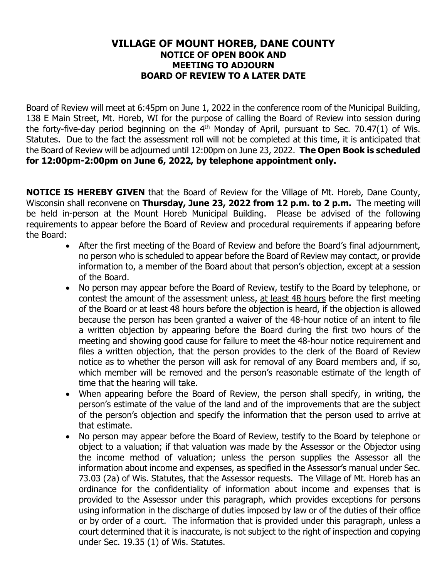## **VILLAGE OF MOUNT HOREB, DANE COUNTY NOTICE OF OPEN BOOK AND MEETING TO ADJOURN BOARD OF REVIEW TO A LATER DATE**

Board of Review will meet at 6:45pm on June 1, 2022 in the conference room of the Municipal Building, 138 E Main Street, Mt. Horeb, WI for the purpose of calling the Board of Review into session during the forty-five-day period beginning on the  $4<sup>th</sup>$  Monday of April, pursuant to Sec. 70.47(1) of Wis. Statutes. Due to the fact the assessment roll will not be completed at this time, it is anticipated that the Board of Review will be adjourned until 12:00pm on June 23, 2022. **The Open Book is scheduled for 12:00pm-2:00pm on June 6, 2022, by telephone appointment only.** 

**NOTICE IS HEREBY GIVEN** that the Board of Review for the Village of Mt. Horeb, Dane County, Wisconsin shall reconvene on **Thursday, June 23, 2022 from 12 p.m. to 2 p.m.** The meeting will be held in-person at the Mount Horeb Municipal Building. Please be advised of the following requirements to appear before the Board of Review and procedural requirements if appearing before the Board:

- After the first meeting of the Board of Review and before the Board's final adjournment, no person who is scheduled to appear before the Board of Review may contact, or provide information to, a member of the Board about that person's objection, except at a session of the Board.
- No person may appear before the Board of Review, testify to the Board by telephone, or contest the amount of the assessment unless, at least 48 hours before the first meeting of the Board or at least 48 hours before the objection is heard, if the objection is allowed because the person has been granted a waiver of the 48-hour notice of an intent to file a written objection by appearing before the Board during the first two hours of the meeting and showing good cause for failure to meet the 48-hour notice requirement and files a written objection, that the person provides to the clerk of the Board of Review notice as to whether the person will ask for removal of any Board members and, if so, which member will be removed and the person's reasonable estimate of the length of time that the hearing will take.
- When appearing before the Board of Review, the person shall specify, in writing, the person's estimate of the value of the land and of the improvements that are the subject of the person's objection and specify the information that the person used to arrive at that estimate.
- No person may appear before the Board of Review, testify to the Board by telephone or object to a valuation; if that valuation was made by the Assessor or the Objector using the income method of valuation; unless the person supplies the Assessor all the information about income and expenses, as specified in the Assessor's manual under Sec. 73.03 (2a) of Wis. Statutes, that the Assessor requests. The Village of Mt. Horeb has an ordinance for the confidentiality of information about income and expenses that is provided to the Assessor under this paragraph, which provides exceptions for persons using information in the discharge of duties imposed by law or of the duties of their office or by order of a court. The information that is provided under this paragraph, unless a court determined that it is inaccurate, is not subject to the right of inspection and copying under Sec. 19.35 (1) of Wis. Statutes.